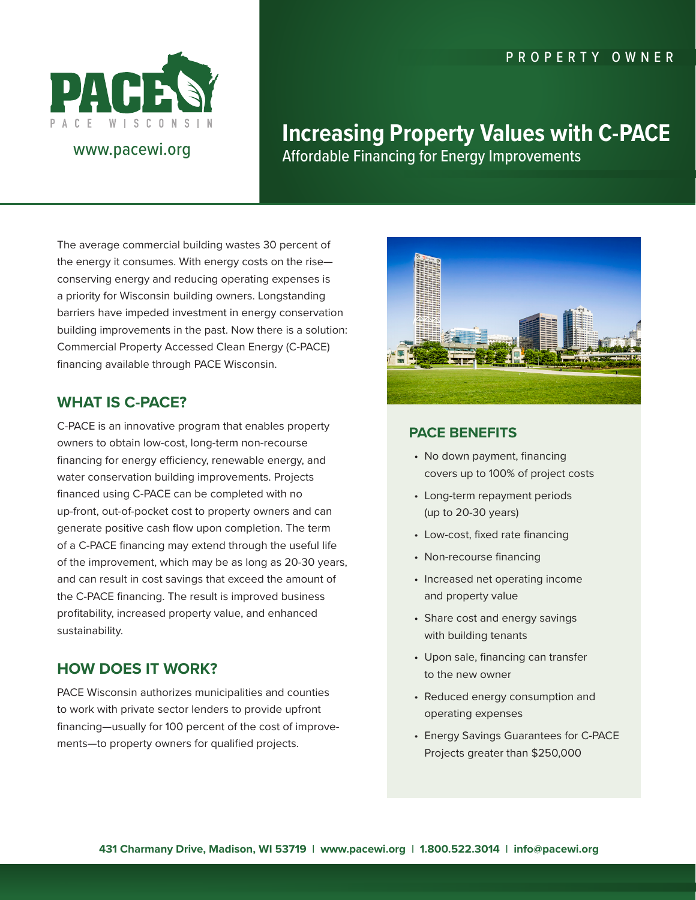### PROPERTY OWNER



# www.pacewi.org

# **Increasing Property Values with C-PACE** Affordable Financing for Energy Improvements

The average commercial building wastes 30 percent of the energy it consumes. With energy costs on the rise conserving energy and reducing operating expenses is a priority for Wisconsin building owners. Longstanding barriers have impeded investment in energy conservation building improvements in the past. Now there is a solution: Commercial Property Accessed Clean Energy (C-PACE) financing available through PACE Wisconsin.

## **WHAT IS C-PACE?**

C-PACE is an innovative program that enables property owners to obtain low-cost, long-term non-recourse financing for energy efficiency, renewable energy, and water conservation building improvements. Projects financed using C-PACE can be completed with no up-front, out-of-pocket cost to property owners and can generate positive cash flow upon completion. The term of a C-PACE financing may extend through the useful life of the improvement, which may be as long as 20-30 years, and can result in cost savings that exceed the amount of the C-PACE financing. The result is improved business profitability, increased property value, and enhanced sustainability.

### **HOW DOES IT WORK?**

PACE Wisconsin authorizes municipalities and counties to work with private sector lenders to provide upfront financing—usually for 100 percent of the cost of improvements—to property owners for qualified projects.



### **PACE BENEFITS**

- No down payment, financing covers up to 100% of project costs
- Long-term repayment periods (up to 20-30 years)
- Low-cost, fixed rate financing
- Non-recourse financing
- Increased net operating income and property value
- Share cost and energy savings with building tenants
- Upon sale, financing can transfer to the new owner
- Reduced energy consumption and operating expenses
- Energy Savings Guarantees for C-PACE Projects greater than \$250,000